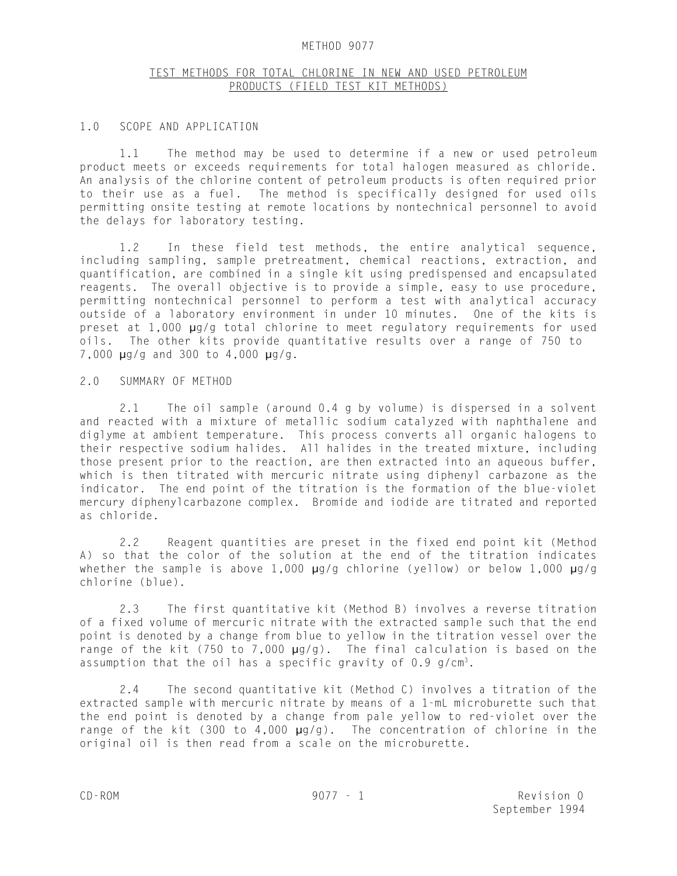#### METHOD 9077

# TEST METHODS FOR TOTAL CHLORINE IN NEW AND USED PETROLEUM PRODUCTS (FIELD TEST KIT METHODS)

#### 1.0 SCOPE AND APPLICATION

1.1 The method may be used to determine if a new or used petroleum product meets or exceeds requirements for total halogen measured as chloride. An analysis of the chlorine content of petroleum products is often required prior to their use as a fuel. The method is specifically designed for used oils permitting onsite testing at remote locations by nontechnical personnel to avoid the delays for laboratory testing.

1.2 In these field test methods, the entire analytical sequence, including sampling, sample pretreatment, chemical reactions, extraction, and quantification, are combined in a single kit using predispensed and encapsulated reagents. The overall objective is to provide a simple, easy to use procedure, permitting nontechnical personnel to perform a test with analytical accuracy outside of a laboratory environment in under 10 minutes. One of the kits is preset at 1,000 µg/g total chlorine to meet regulatory requirements for used oils. The other kits provide quantitative results over a range of 750 to 7,000 µg/g and 300 to 4,000 µg/g.

### 2.0 SUMMARY OF METHOD

2.1 The oil sample (around 0.4 g by volume) is dispersed in a solvent and reacted with a mixture of metallic sodium catalyzed with naphthalene and diglyme at ambient temperature. This process converts all organic halogens to their respective sodium halides. All halides in the treated mixture, including those present prior to the reaction, are then extracted into an aqueous buffer, which is then titrated with mercuric nitrate using diphenyl carbazone as the indicator. The end point of the titration is the formation of the blue-violet mercury diphenylcarbazone complex. Bromide and iodide are titrated and reported as chloride.

2.2 Reagent quantities are preset in the fixed end point kit (Method A) so that the color of the solution at the end of the titration indicates whether the sample is above 1,000  $\mu$ g/g chlorine (yellow) or below 1,000  $\mu$ g/g chlorine (blue).

2.3 The first quantitative kit (Method B) involves a reverse titration of a fixed volume of mercuric nitrate with the extracted sample such that the end point is denoted by a change from blue to yellow in the titration vessel over the range of the kit (750 to 7,000  $\mu$ g/g). The final calculation is based on the assumption that the oil has a specific gravity of  $0.9$  g/cm<sup>3</sup>.

2.4 The second quantitative kit (Method C) involves a titration of the extracted sample with mercuric nitrate by means of a 1-mL microburette such that the end point is denoted by a change from pale yellow to red-violet over the range of the kit (300 to 4,000 µg/g). The concentration of chlorine in the original oil is then read from a scale on the microburette.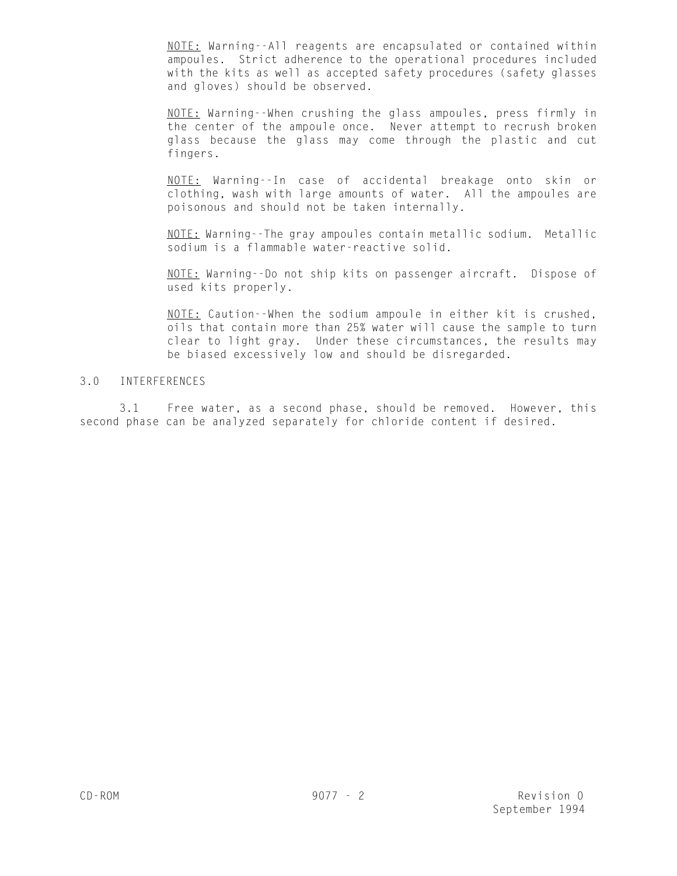NOTE: Warning--All reagents are encapsulated or contained within ampoules. Strict adherence to the operational procedures included with the kits as well as accepted safety procedures (safety glasses and gloves) should be observed.

NOTE: Warning--When crushing the glass ampoules, press firmly in the center of the ampoule once. Never attempt to recrush broken glass because the glass may come through the plastic and cut fingers.

NOTE: Warning--In case of accidental breakage onto skin or clothing, wash with large amounts of water. All the ampoules are poisonous and should not be taken internally.

NOTE: Warning--The gray ampoules contain metallic sodium. Metallic sodium is a flammable water-reactive solid.

NOTE: Warning--Do not ship kits on passenger aircraft. Dispose of used kits properly.

NOTE: Caution--When the sodium ampoule in either kit is crushed, oils that contain more than 25% water will cause the sample to turn clear to light gray. Under these circumstances, the results may be biased excessively low and should be disregarded.

# 3.0 INTERFERENCES

3.1 Free water, as a second phase, should be removed. However, this second phase can be analyzed separately for chloride content if desired.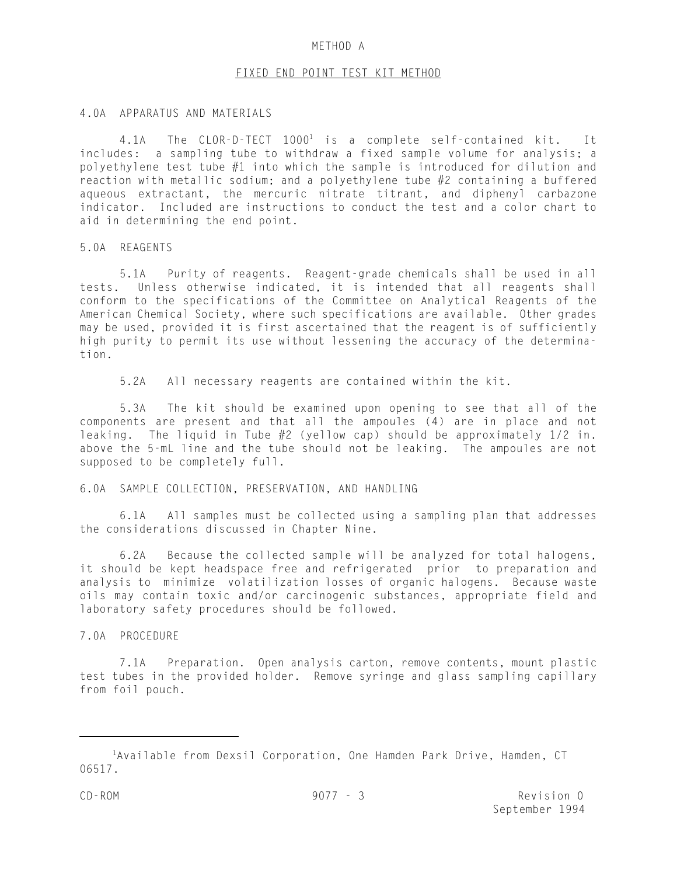#### METHOD A

#### FIXED END POINT TEST KIT METHOD

### 4.0A APPARATUS AND MATERIALS

4.1A The CLOR-D-TECT  $1000^1$  is a complete self-contained kit. It includes: a sampling tube to withdraw a fixed sample volume for analysis; a polyethylene test tube #1 into which the sample is introduced for dilution and reaction with metallic sodium; and a polyethylene tube #2 containing a buffered aqueous extractant, the mercuric nitrate titrant, and diphenyl carbazone indicator. Included are instructions to conduct the test and a color chart to aid in determining the end point.

5.0A REAGENTS

5.1A Purity of reagents. Reagent-grade chemicals shall be used in all tests. Unless otherwise indicated, it is intended that all reagents shall conform to the specifications of the Committee on Analytical Reagents of the American Chemical Society, where such specifications are available. Other grades may be used, provided it is first ascertained that the reagent is of sufficiently high purity to permit its use without lessening the accuracy of the determination.

5.2A All necessary reagents are contained within the kit.

5.3A The kit should be examined upon opening to see that all of the components are present and that all the ampoules (4) are in place and not leaking. The liquid in Tube  $#2$  (yellow cap) should be approximately  $1/2$  in. above the 5-mL line and the tube should not be leaking. The ampoules are not supposed to be completely full.

# 6.0A SAMPLE COLLECTION, PRESERVATION, AND HANDLING

6.1A All samples must be collected using a sampling plan that addresses the considerations discussed in Chapter Nine.

6.2A Because the collected sample will be analyzed for total halogens, it should be kept headspace free and refrigerated prior to preparation and analysis to minimize volatilization losses of organic halogens. Because waste oils may contain toxic and/or carcinogenic substances, appropriate field and laboratory safety procedures should be followed.

# 7.0A PROCEDURE

7.1A Preparation. Open analysis carton, remove contents, mount plastic test tubes in the provided holder. Remove syringe and glass sampling capillary from foil pouch.

<sup>&</sup>lt;sup>1</sup>Available from Dexsil Corporation, One Hamden Park Drive, Hamden, CT 06517.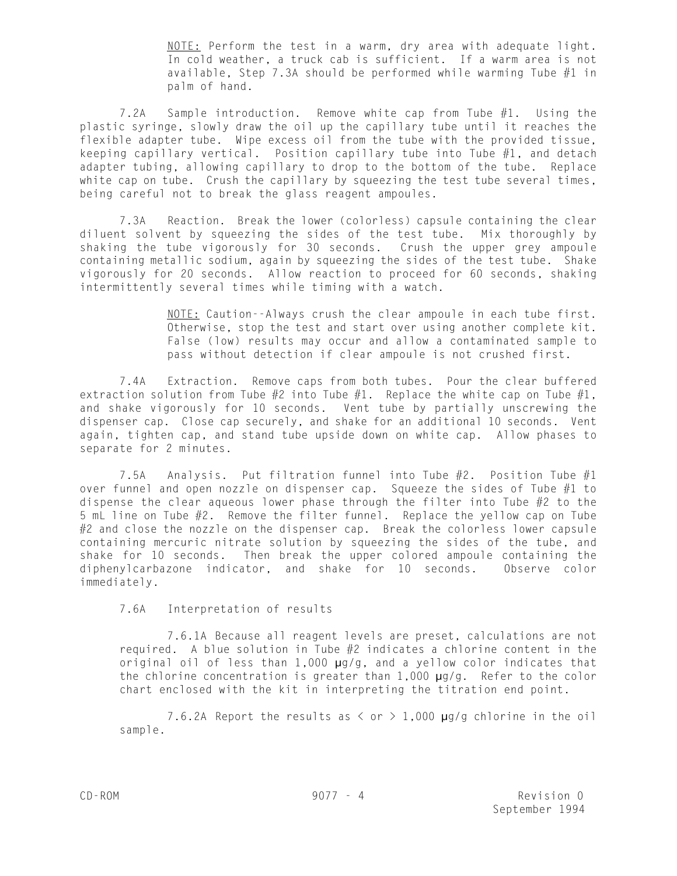NOTE: Perform the test in a warm, dry area with adequate light. In cold weather, a truck cab is sufficient. If a warm area is not available, Step 7.3A should be performed while warming Tube  $#1$  in palm of hand.

7.2A Sample introduction. Remove white cap from Tube #1. Using the plastic syringe, slowly draw the oil up the capillary tube until it reaches the flexible adapter tube. Wipe excess oil from the tube with the provided tissue, keeping capillary vertical. Position capillary tube into Tube  $#1$ , and detach adapter tubing, allowing capillary to drop to the bottom of the tube. Replace white cap on tube. Crush the capillary by squeezing the test tube several times, being careful not to break the glass reagent ampoules.

7.3A Reaction. Break the lower (colorless) capsule containing the clear diluent solvent by squeezing the sides of the test tube. Mix thoroughly by shaking the tube vigorously for 30 seconds. Crush the upper grey ampoule containing metallic sodium, again by squeezing the sides of the test tube. Shake vigorously for 20 seconds. Allow reaction to proceed for 60 seconds, shaking intermittently several times while timing with a watch.

> NOTE: Caution--Always crush the clear ampoule in each tube first. Otherwise, stop the test and start over using another complete kit. False (low) results may occur and allow a contaminated sample to pass without detection if clear ampoule is not crushed first.

7.4A Extraction. Remove caps from both tubes. Pour the clear buffered extraction solution from Tube  $#2$  into Tube  $#1$ . Replace the white cap on Tube  $#1$ , and shake vigorously for 10 seconds. Vent tube by partially unscrewing the dispenser cap. Close cap securely, and shake for an additional 10 seconds. Vent again, tighten cap, and stand tube upside down on white cap. Allow phases to separate for 2 minutes.

7.5A Analysis. Put filtration funnel into Tube  $#2$ . Position Tube  $#1$ over funnel and open nozzle on dispenser cap. Squeeze the sides of Tube  $#1$  to dispense the clear aqueous lower phase through the filter into Tube #2 to the 5 mL line on Tube #2. Remove the filter funnel. Replace the yellow cap on Tube #2 and close the nozzle on the dispenser cap. Break the colorless lower capsule containing mercuric nitrate solution by squeezing the sides of the tube, and shake for 10 seconds. Then break the upper colored ampoule containing the diphenylcarbazone indicator, and shake for 10 seconds. Observe color immediately.

7.6A Interpretation of results

7.6.1A Because all reagent levels are preset, calculations are not required. A blue solution in Tube  $#2$  indicates a chlorine content in the original oil of less than 1,000 µg/g, and a yellow color indicates that the chlorine concentration is greater than  $1,000 \mu q/q$ . Refer to the color chart enclosed with the kit in interpreting the titration end point.

7.6.2A Report the results as  $\langle$  or  $\rangle$  1,000  $\mu$ g/g chlorine in the oil sample.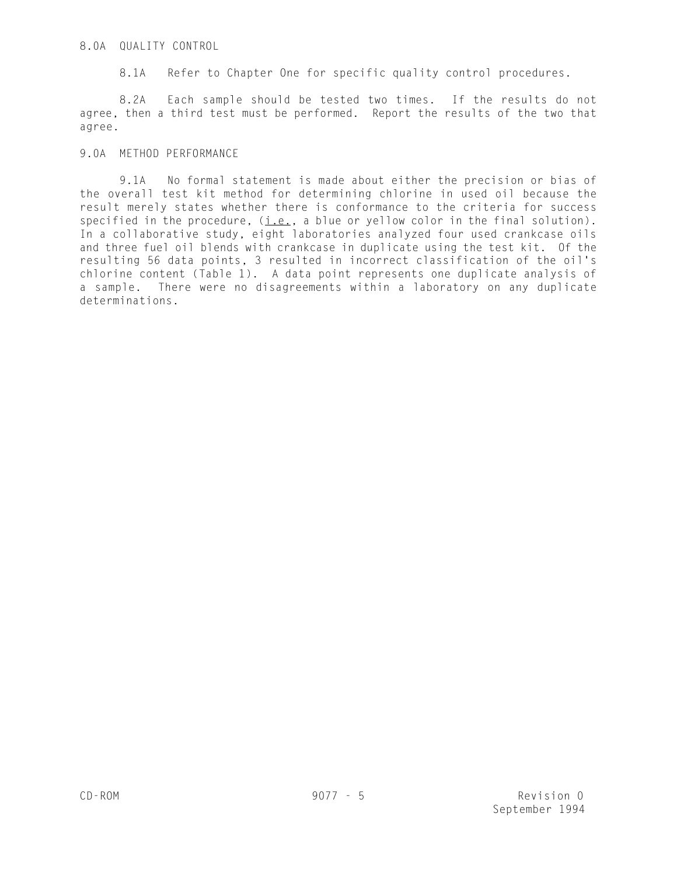# 8.0A QUALITY CONTROL

8.1A Refer to Chapter One for specific quality control procedures.

8.2A Each sample should be tested two times. If the results do not agree, then a third test must be performed. Report the results of the two that agree.

# 9.0A METHOD PERFORMANCE

9.1A No formal statement is made about either the precision or bias of the overall test kit method for determining chlorine in used oil because the result merely states whether there is conformance to the criteria for success specified in the procedure, (i.e., a blue or yellow color in the final solution). In a collaborative study, eight laboratories analyzed four used crankcase oils and three fuel oil blends with crankcase in duplicate using the test kit. Of the resulting 56 data points, 3 resulted in incorrect classification of the oil's chlorine content (Table 1). A data point represents one duplicate analysis of a sample. There were no disagreements within a laboratory on any duplicate determinations.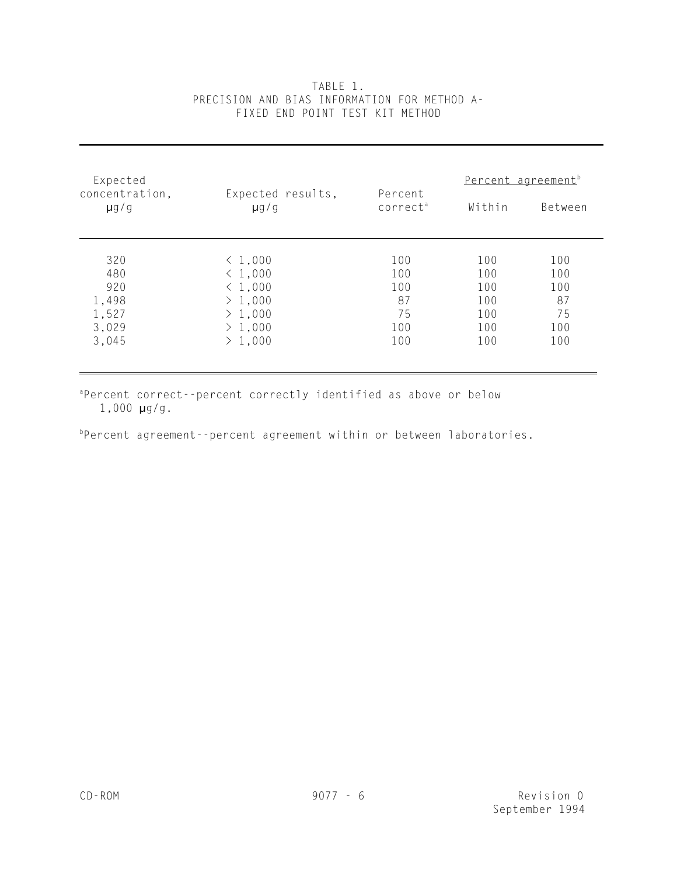| Expected                    |                                |                                 | Percent agreement <sup>b</sup> |         |  |
|-----------------------------|--------------------------------|---------------------------------|--------------------------------|---------|--|
| concentration,<br>$\mu$ g/g | Expected results,<br>$\mu$ g/g | Percent<br>correct <sup>a</sup> | Within                         | Between |  |
|                             |                                |                                 |                                |         |  |
| 320                         | < 1,000                        | 100                             | 100                            | 100     |  |
| 480                         | < 1,000                        | 100                             | 100                            | 100     |  |
| 920                         | < 1,000                        | 100                             | 100                            | 100     |  |
| 1,498                       | > 1,000                        | 87                              | 100                            | 87      |  |
| 1,527                       | > 1,000                        | 75                              | 100                            | 75      |  |
| 3,029                       | > 1,000                        | 100                             | 100                            | 100     |  |
| 3,045                       | > 1,000                        | 100                             | 100                            | 100     |  |
|                             |                                |                                 |                                |         |  |

# TABLE 1. PRECISION AND BIAS INFORMATION FOR METHOD A-FIXED END POINT TEST KIT METHOD

aPercent correct--percent correctly identified as above or below 1,000 µg/g.

 $P$ Percent agreement--percent agreement within or between laboratories.

l,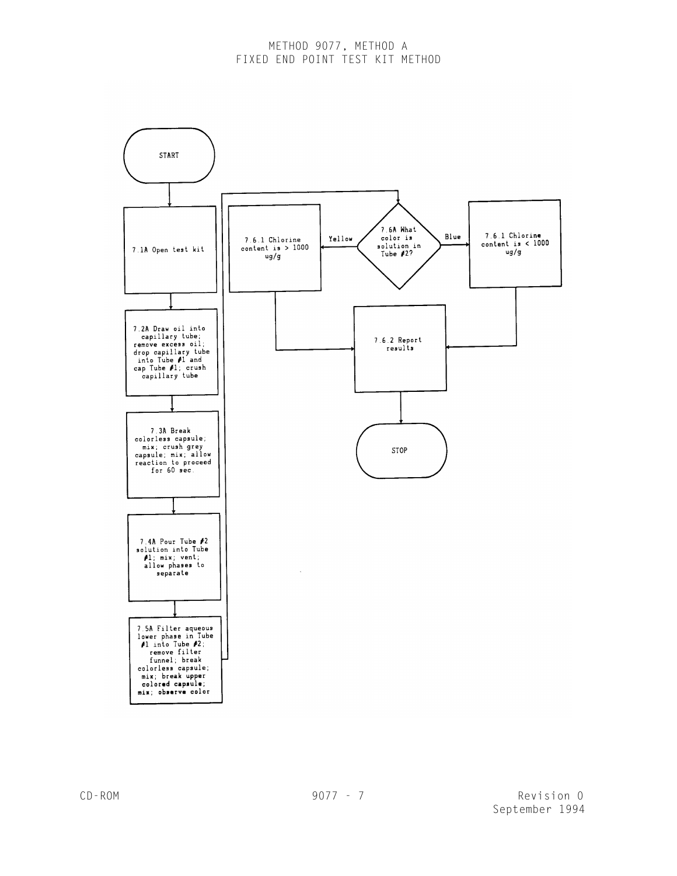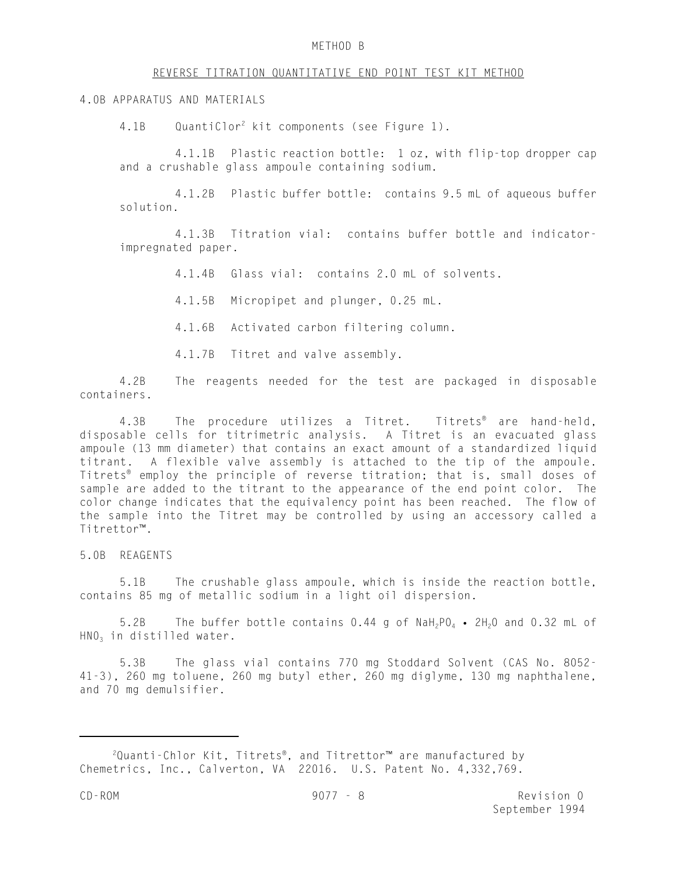#### METHOD B

#### REVERSE TITRATION QUANTITATIVE END POINT TEST KIT METHOD

#### 4.0B APPARATUS AND MATERIALS

4.1B QuantiClor<sup>2</sup> kit components (see Figure 1).

4.1.1B Plastic reaction bottle: 1 oz, with flip-top dropper cap and a crushable glass ampoule containing sodium.

4.1.2B Plastic buffer bottle: contains 9.5 mL of aqueous buffer solution.

4.1.3B Titration vial: contains buffer bottle and indicatorimpregnated paper.

4.1.4B Glass vial: contains 2.0 mL of solvents.

4.1.5B Micropipet and plunger, 0.25 mL.

4.1.6B Activated carbon filtering column.

4.1.7B Titret and valve assembly.

4.2B The reagents needed for the test are packaged in disposable containers.

4.3B The procedure utilizes a Titret. Titrets<sup>®</sup> are hand-held, disposable cells for titrimetric analysis. A Titret is an evacuated glass ampoule (13 mm diameter) that contains an exact amount of a standardized liquid titrant. A flexible valve assembly is attached to the tip of the ampoule. Titrets® employ the principle of reverse titration; that is, small doses of sample are added to the titrant to the appearance of the end point color. The color change indicates that the equivalency point has been reached. The flow of the sample into the Titret may be controlled by using an accessory called a Titrettor™.

# 5.0B REAGENTS

5.1B The crushable glass ampoule, which is inside the reaction bottle, contains 85 mg of metallic sodium in a light oil dispersion.

5.2B The buffer bottle contains  $0.44$  g of NaH<sub>2</sub>PO<sub>4</sub> • 2H<sub>2</sub>O and 0.32 mL of HNO<sub>3</sub> in distilled water.

5.3B The glass vial contains 770 mg Stoddard Solvent (CAS No. 8052- 41-3), 260 mg toluene, 260 mg butyl ether, 260 mg diglyme, 130 mg naphthalene, and 70 mg demulsifier.

 $2$ Quanti-Chlor Kit, Titrets®, and Titrettor<sup>™</sup> are manufactured by Chemetrics, Inc., Calverton, VA 22016. U.S. Patent No. 4,332,769.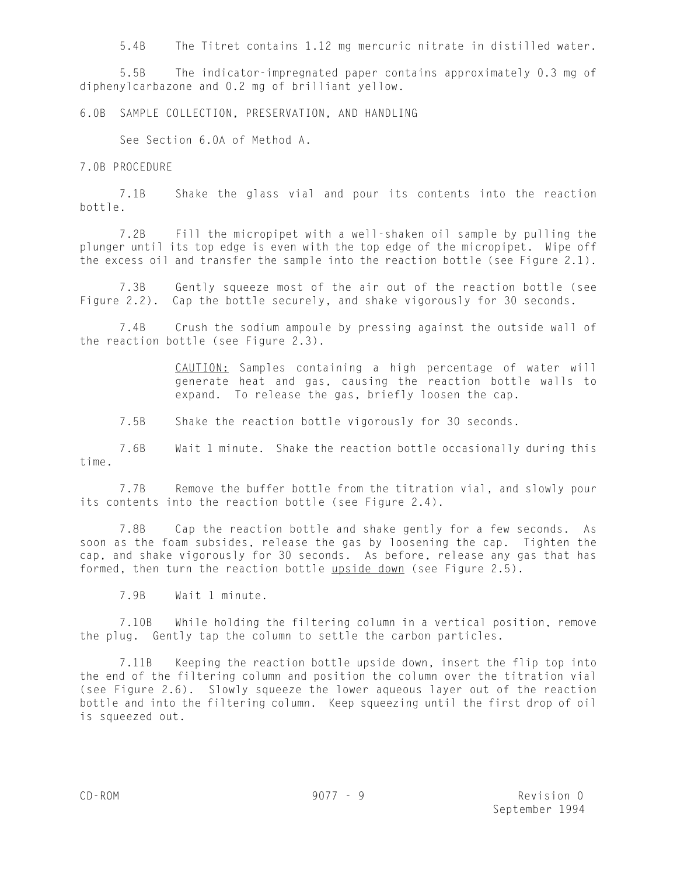5.4B The Titret contains 1.12 mg mercuric nitrate in distilled water.

5.5B The indicator-impregnated paper contains approximately 0.3 mg of diphenylcarbazone and 0.2 mg of brilliant yellow.

6.0B SAMPLE COLLECTION, PRESERVATION, AND HANDLING

See Section 6.0A of Method A.

7.0B PROCEDURE

7.1B Shake the glass vial and pour its contents into the reaction bottle.

7.2B Fill the micropipet with a well-shaken oil sample by pulling the plunger until its top edge is even with the top edge of the micropipet. Wipe off the excess oil and transfer the sample into the reaction bottle (see Figure 2.1).

7.3B Gently squeeze most of the air out of the reaction bottle (see Figure 2.2). Cap the bottle securely, and shake vigorously for 30 seconds.

7.4B Crush the sodium ampoule by pressing against the outside wall of the reaction bottle (see Figure 2.3).

> CAUTION: Samples containing a high percentage of water will generate heat and gas, causing the reaction bottle walls to expand. To release the gas, briefly loosen the cap.

7.5B Shake the reaction bottle vigorously for 30 seconds.

7.6B Wait 1 minute. Shake the reaction bottle occasionally during this time.

7.7B Remove the buffer bottle from the titration vial, and slowly pour its contents into the reaction bottle (see Figure 2.4).

7.8B Cap the reaction bottle and shake gently for a few seconds. As soon as the foam subsides, release the gas by loosening the cap. Tighten the cap, and shake vigorously for 30 seconds. As before, release any gas that has formed, then turn the reaction bottle upside down (see Figure 2.5).

7.9B Wait 1 minute.

7.10B While holding the filtering column in a vertical position, remove the plug. Gently tap the column to settle the carbon particles.

7.11B Keeping the reaction bottle upside down, insert the flip top into the end of the filtering column and position the column over the titration vial (see Figure 2.6). Slowly squeeze the lower aqueous layer out of the reaction bottle and into the filtering column. Keep squeezing until the first drop of oil is squeezed out.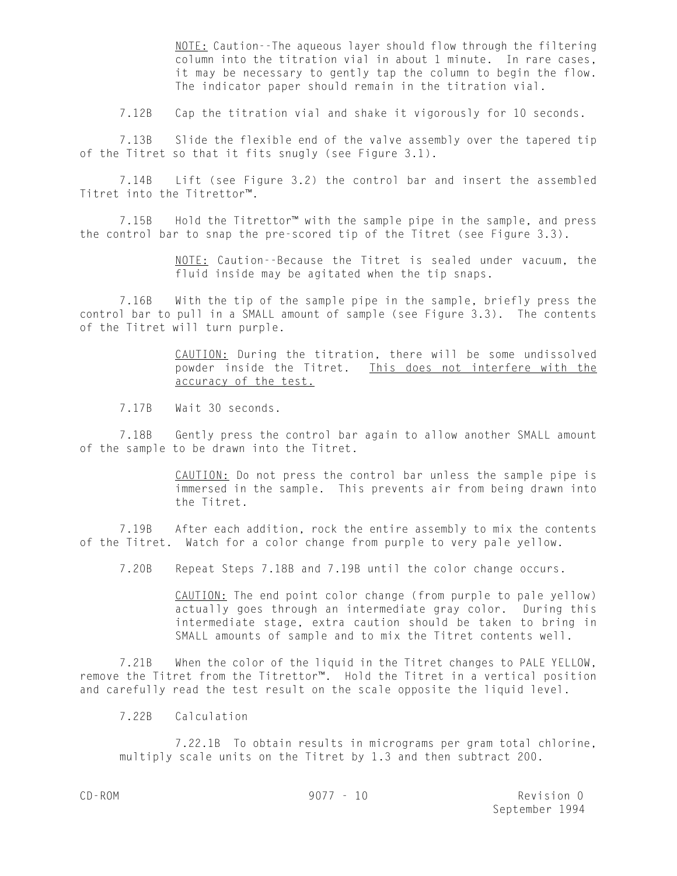NOTE: Caution--The aqueous layer should flow through the filtering column into the titration vial in about 1 minute. In rare cases, it may be necessary to gently tap the column to begin the flow. The indicator paper should remain in the titration vial.

7.12B Cap the titration vial and shake it vigorously for 10 seconds.

7.13B Slide the flexible end of the valve assembly over the tapered tip of the Titret so that it fits snugly (see Figure 3.1).

7.14B Lift (see Figure 3.2) the control bar and insert the assembled Titret into the Titrettor™.

7.15B Hold the Titrettor™ with the sample pipe in the sample, and press the control bar to snap the pre-scored tip of the Titret (see Figure 3.3).

> NOTE: Caution--Because the Titret is sealed under vacuum, the fluid inside may be agitated when the tip snaps.

7.16B With the tip of the sample pipe in the sample, briefly press the control bar to pull in a SMALL amount of sample (see Figure 3.3). The contents of the Titret will turn purple.

> CAUTION: During the titration, there will be some undissolved powder inside the Titret. This does not interfere with the accuracy of the test.

7.17B Wait 30 seconds.

7.18B Gently press the control bar again to allow another SMALL amount of the sample to be drawn into the Titret.

> CAUTION: Do not press the control bar unless the sample pipe is immersed in the sample. This prevents air from being drawn into the Titret.

7.19B After each addition, rock the entire assembly to mix the contents of the Titret. Watch for a color change from purple to very pale yellow.

7.20B Repeat Steps 7.18B and 7.19B until the color change occurs.

CAUTION: The end point color change (from purple to pale yellow) actually goes through an intermediate gray color. During this intermediate stage, extra caution should be taken to bring in SMALL amounts of sample and to mix the Titret contents well.

7.21B When the color of the liquid in the Titret changes to PALE YELLOW, remove the Titret from the Titrettor™. Hold the Titret in a vertical position and carefully read the test result on the scale opposite the liquid level.

7.22B Calculation

7.22.1B To obtain results in micrograms per gram total chlorine, multiply scale units on the Titret by 1.3 and then subtract 200.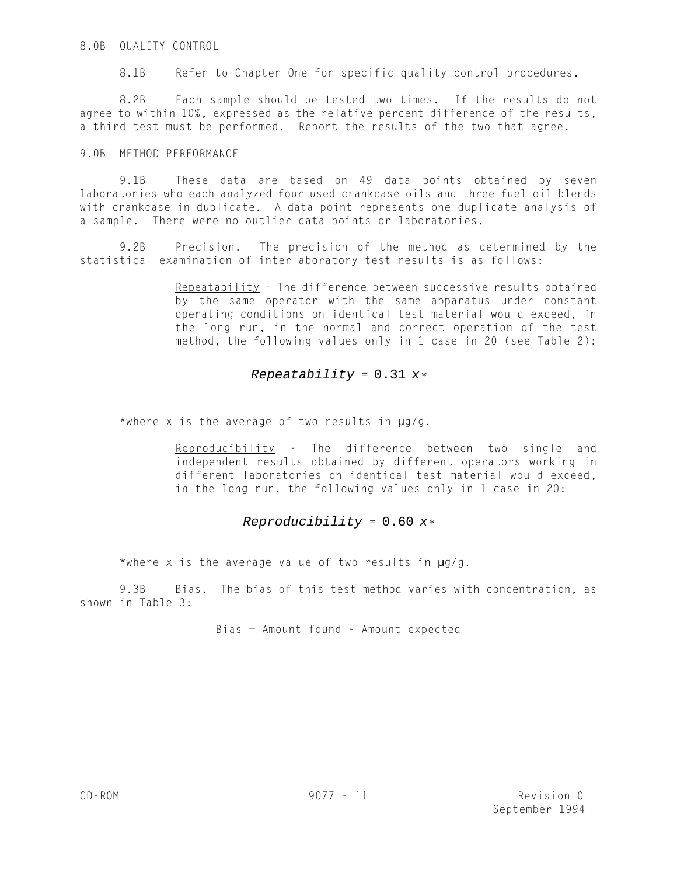# 8.0B QUALITY CONTROL

8.1B Refer to Chapter One for specific quality control procedures.

8.2B Each sample should be tested two times. If the results do not agree to within 10%, expressed as the relative percent difference of the results, a third test must be performed. Report the results of the two that agree.

### 9.0B METHOD PERFORMANCE

9.1B These data are based on 49 data points obtained by seven laboratories who each analyzed four used crankcase oils and three fuel oil blends with crankcase in duplicate. A data point represents one duplicate analysis of a sample. There were no outlier data points or laboratories.

9.2B Precision. The precision of the method as determined by the statistical examination of interlaboratory test results is as follows:

> Repeatability - The difference between successive results obtained by the same operator with the same apparatus under constant operating conditions on identical test material would exceed, in the long run, in the normal and correct operation of the test method, the following values only in 1 case in 20 (see Table 2):

# Repeatability =  $0.31 x*$

\*where x is the average of two results in  $\mu q/q$ .

Reproducibility - The difference between two single and independent results obtained by different operators working in different laboratories on identical test material would exceed, in the long run, the following values only in 1 case in 20:

# Reproducibility =  $0.60 x*$

\*where x is the average value of two results in  $\mu$ g/g.

9.3B Bias. The bias of this test method varies with concentration, as shown in Table 3:

Bias = Amount found - Amount expected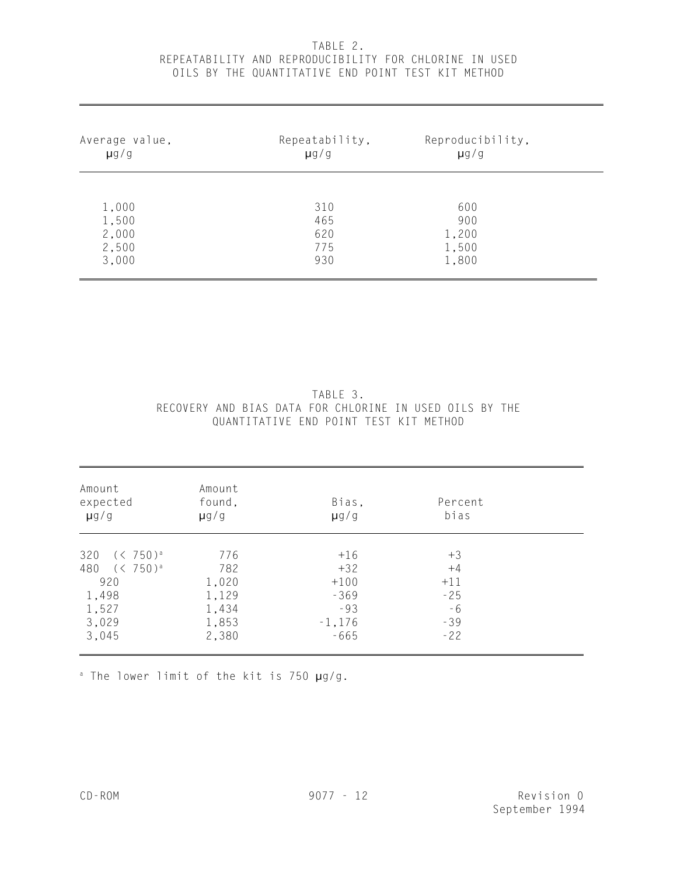# TABLE 2. REPEATABILITY AND REPRODUCIBILITY FOR CHLORINE IN USED OILS BY THE QUANTITATIVE END POINT TEST KIT METHOD

| Average value, | Repeatability, | Reproducibility, |  |
|----------------|----------------|------------------|--|
| $\mu$ g/g      | $\mu$ g/g      | $\mu$ g/g        |  |
| 1,000          | 310            | 600              |  |
| 1,500          | 465            | 900              |  |
| 2,000          | 620            | 1,200            |  |
| 2,500          | 775            | 1,500            |  |
| 3,000          | 930            | 1,800            |  |

# TABLE 3. RECOVERY AND BIAS DATA FOR CHLORINE IN USED OILS BY THE QUANTITATIVE END POINT TEST KIT METHOD

| Amount<br>expected<br>$\mu$ g/g | Amount<br>found,<br>$\mu$ g/g | Bias,<br>$\mu$ g/g | Percent<br>bias |  |
|---------------------------------|-------------------------------|--------------------|-----------------|--|
|                                 |                               |                    |                 |  |
| 320 $(< 750)^a$                 | 776                           | $+16$              | $+3$            |  |
| 480 (< 750) <sup>a</sup>        | 782                           | $+32$              | $+4$            |  |
| 920                             | 1,020                         | $+100$             | $+11$           |  |
| 1,498                           | 1,129                         | $-369$             | $-25$           |  |
| 1,527                           | 1,434                         | $-93$              | $-6$            |  |
| 3,029                           | 1,853                         | $-1,176$           | $-39$           |  |
| 3,045                           | 2,380                         | $-665$             | $-22$           |  |

 $^a$  The lower limit of the kit is 750  $\mu$ g/g.

l,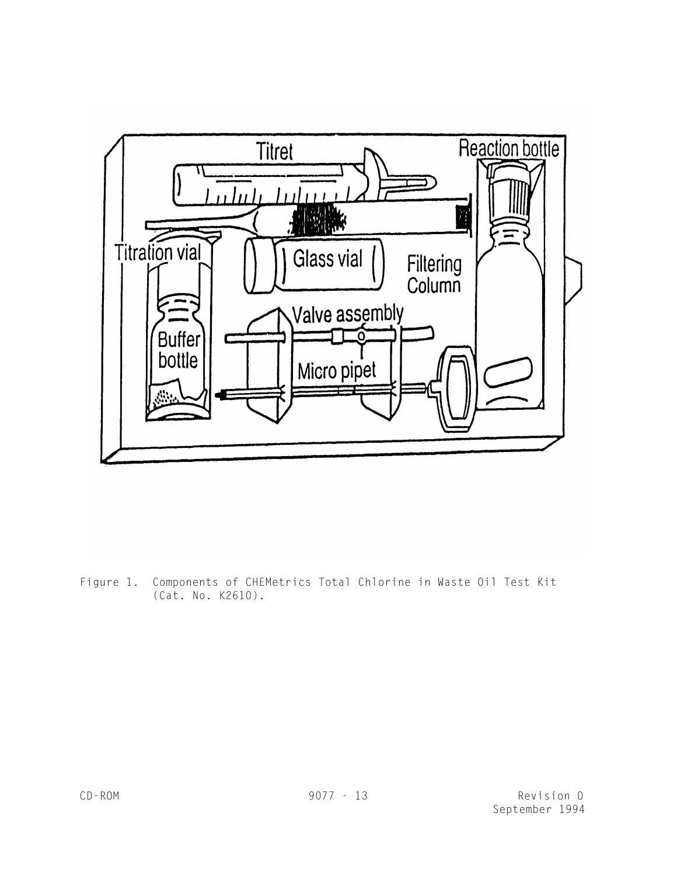

Figure 1. Components of CHEMetrics Total Chlorine in Waste Oil Test Kit (Cat. No. K2610).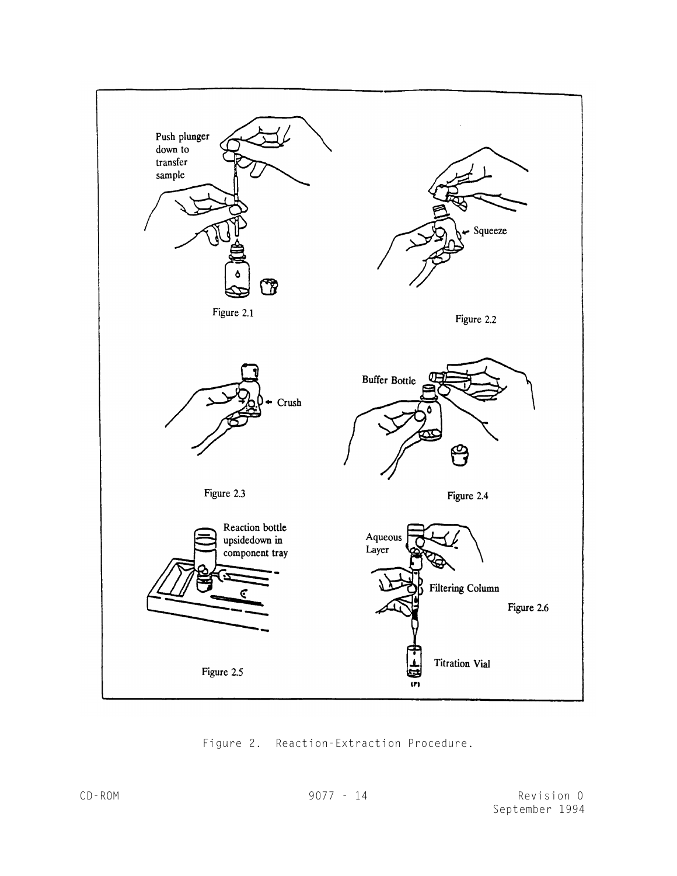

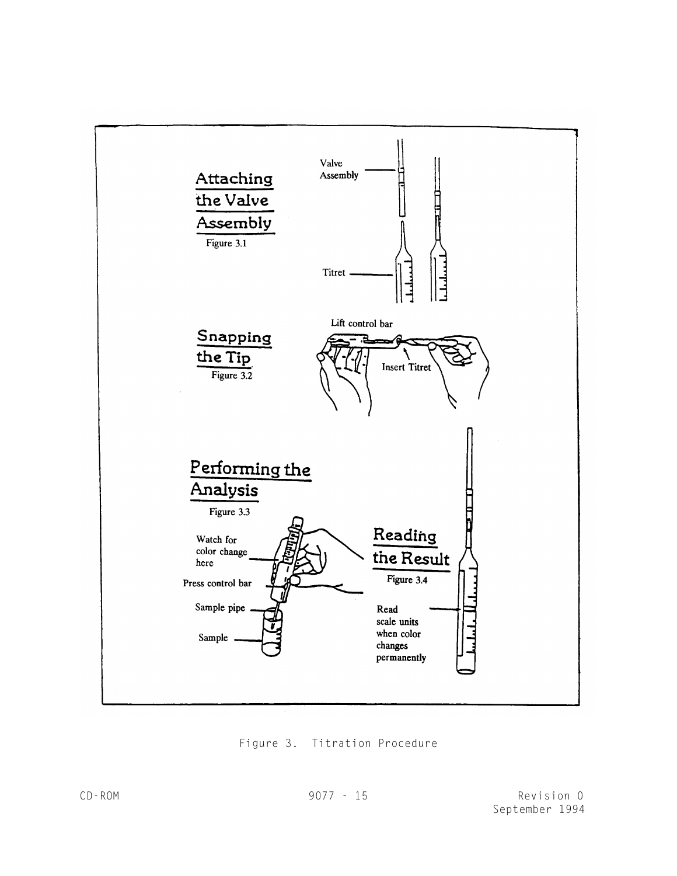

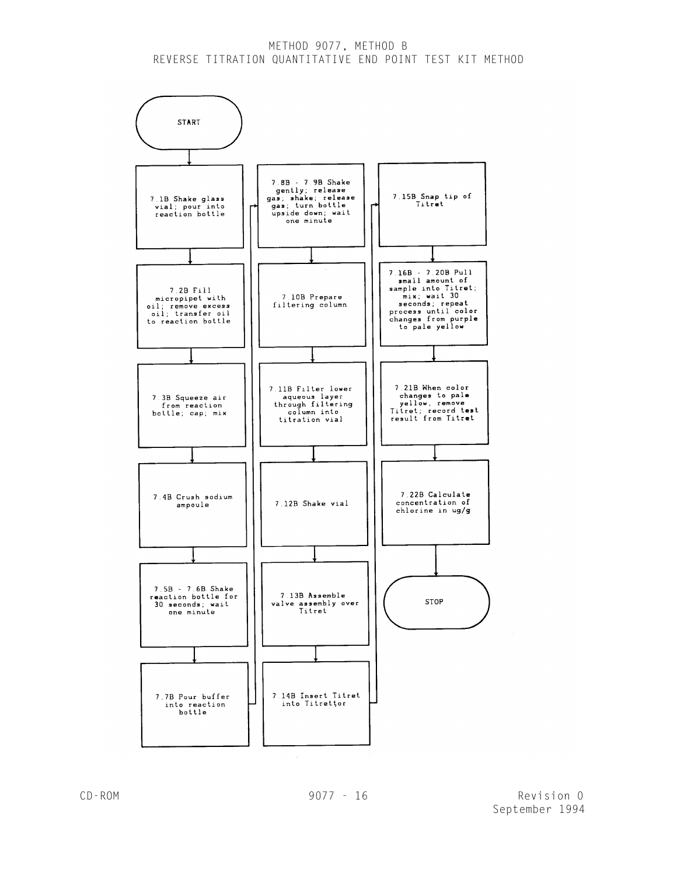# METHOD 9077, METHOD B REVERSE TITRATION QUANTITATIVE END POINT TEST KIT METHOD

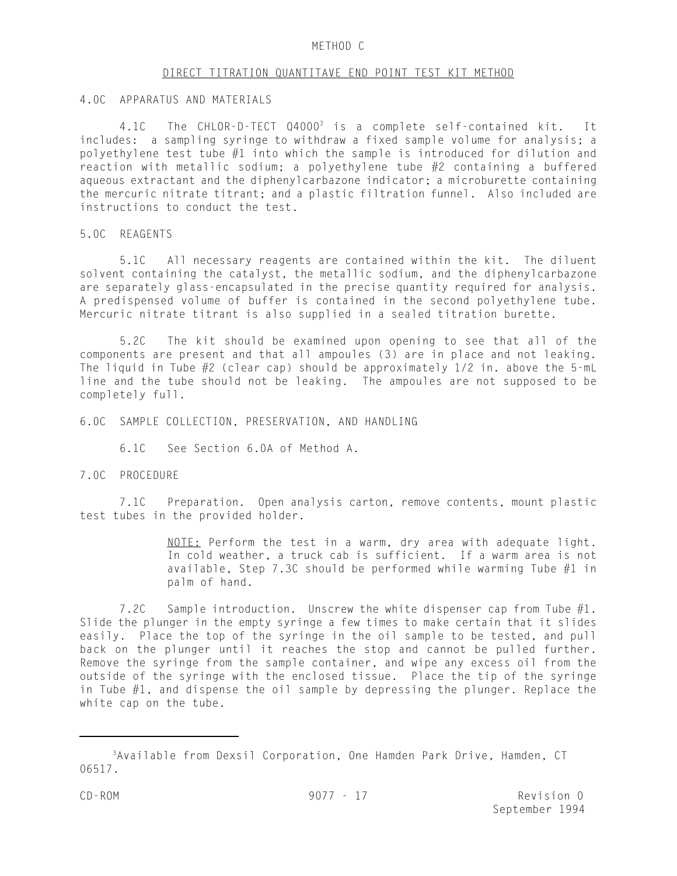#### METHOD C

#### DIRECT TITRATION QUANTITAVE END POINT TEST KIT METHOD

### 4.0C APPARATUS AND MATERIALS

4.1C The CHLOR-D-TECT 04000<sup>3</sup> is a complete self-contained kit. It includes: a sampling syringe to withdraw a fixed sample volume for analysis; a polyethylene test tube #1 into which the sample is introduced for dilution and reaction with metallic sodium; a polyethylene tube #2 containing a buffered aqueous extractant and the diphenylcarbazone indicator; a microburette containing the mercuric nitrate titrant; and a plastic filtration funnel. Also included are instructions to conduct the test.

### 5.0C REAGENTS

5.1C All necessary reagents are contained within the kit. The diluent solvent containing the catalyst, the metallic sodium, and the diphenylcarbazone are separately glass-encapsulated in the precise quantity required for analysis. A predispensed volume of buffer is contained in the second polyethylene tube. Mercuric nitrate titrant is also supplied in a sealed titration burette.

5.2C The kit should be examined upon opening to see that all of the components are present and that all ampoules (3) are in place and not leaking. The liquid in Tube  $#2$  (clear cap) should be approximately 1/2 in. above the 5-mL line and the tube should not be leaking. The ampoules are not supposed to be completely full.

6.0C SAMPLE COLLECTION, PRESERVATION, AND HANDLING

6.1C See Section 6.0A of Method A.

### 7.0C PROCEDURE

7.1C Preparation. Open analysis carton, remove contents, mount plastic test tubes in the provided holder.

> NOTE: Perform the test in a warm, dry area with adequate light. In cold weather, a truck cab is sufficient. If a warm area is not available, Step 7.3C should be performed while warming Tube  $#1$  in palm of hand.

7.2C Sample introduction. Unscrew the white dispenser cap from Tube  $#1$ . Slide the plunger in the empty syringe a few times to make certain that it slides easily. Place the top of the syringe in the oil sample to be tested, and pull back on the plunger until it reaches the stop and cannot be pulled further. Remove the syringe from the sample container, and wipe any excess oil from the outside of the syringe with the enclosed tissue. Place the tip of the syringe in Tube  $#1$ , and dispense the oil sample by depressing the plunger. Replace the white cap on the tube.

<sup>&</sup>lt;sup>3</sup>Available from Dexsil Corporation, One Hamden Park Drive, Hamden, CT 06517.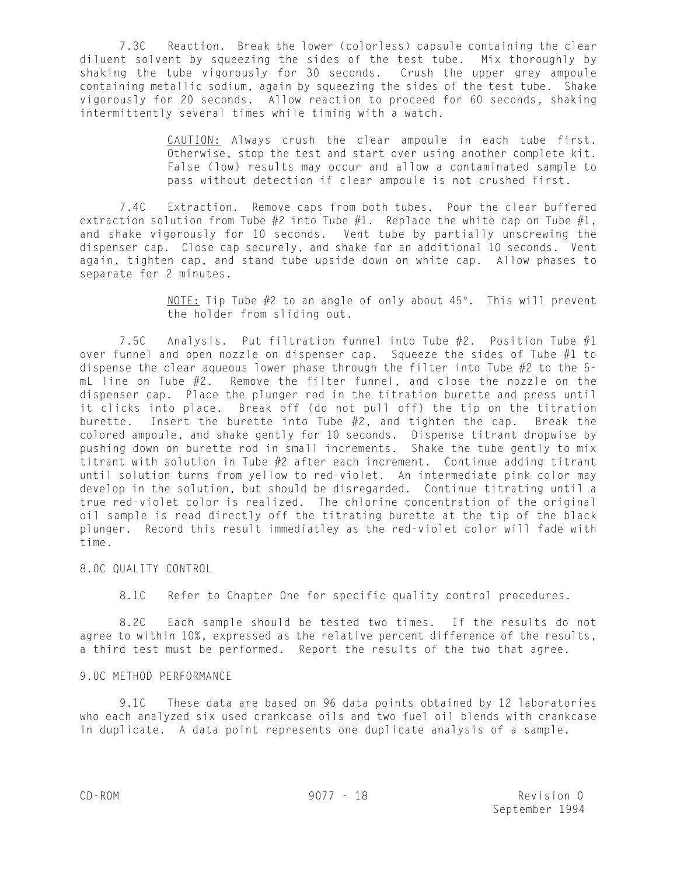7.3C Reaction. Break the lower (colorless) capsule containing the clear diluent solvent by squeezing the sides of the test tube. Mix thoroughly by shaking the tube vigorously for 30 seconds. Crush the upper grey ampoule containing metallic sodium, again by squeezing the sides of the test tube. Shake vigorously for 20 seconds. Allow reaction to proceed for 60 seconds, shaking intermittently several times while timing with a watch.

> CAUTION: Always crush the clear ampoule in each tube first. Otherwise, stop the test and start over using another complete kit. False (low) results may occur and allow a contaminated sample to pass without detection if clear ampoule is not crushed first.

7.4C Extraction. Remove caps from both tubes. Pour the clear buffered extraction solution from Tube  $#2$  into Tube  $#1$ . Replace the white cap on Tube  $#1$ , and shake vigorously for 10 seconds. Vent tube by partially unscrewing the dispenser cap. Close cap securely, and shake for an additional 10 seconds. Vent again, tighten cap, and stand tube upside down on white cap. Allow phases to separate for 2 minutes.

> NOTE: Tip Tube  $#2$  to an angle of only about  $45^{\circ}$ . This will prevent the holder from sliding out.

7.5C Analysis. Put filtration funnel into Tube #2. Position Tube #1 over funnel and open nozzle on dispenser cap. Squeeze the sides of Tube #1 to dispense the clear aqueous lower phase through the filter into Tube  $#2$  to the 5mL line on Tube #2. Remove the filter funnel, and close the nozzle on the dispenser cap. Place the plunger rod in the titration burette and press until it clicks into place. Break off (do not pull off) the tip on the titration burette. Insert the burette into Tube  $#2$ , and tighten the cap. Break the colored ampoule, and shake gently for 10 seconds. Dispense titrant dropwise by pushing down on burette rod in small increments. Shake the tube gently to mix titrant with solution in Tube #2 after each increment. Continue adding titrant until solution turns from yellow to red-violet. An intermediate pink color may develop in the solution, but should be disregarded. Continue titrating until a true red-violet color is realized. The chlorine concentration of the original oil sample is read directly off the titrating burette at the tip of the black plunger. Record this result immediatley as the red-violet color will fade with time.

### 8.0C QUALITY CONTROL

8.1C Refer to Chapter One for specific quality control procedures.

8.2C Each sample should be tested two times. If the results do not agree to within 10%, expressed as the relative percent difference of the results, a third test must be performed. Report the results of the two that agree.

### 9.0C METHOD PERFORMANCE

9.1C These data are based on 96 data points obtained by 12 laboratories who each analyzed six used crankcase oils and two fuel oil blends with crankcase in duplicate. A data point represents one duplicate analysis of a sample.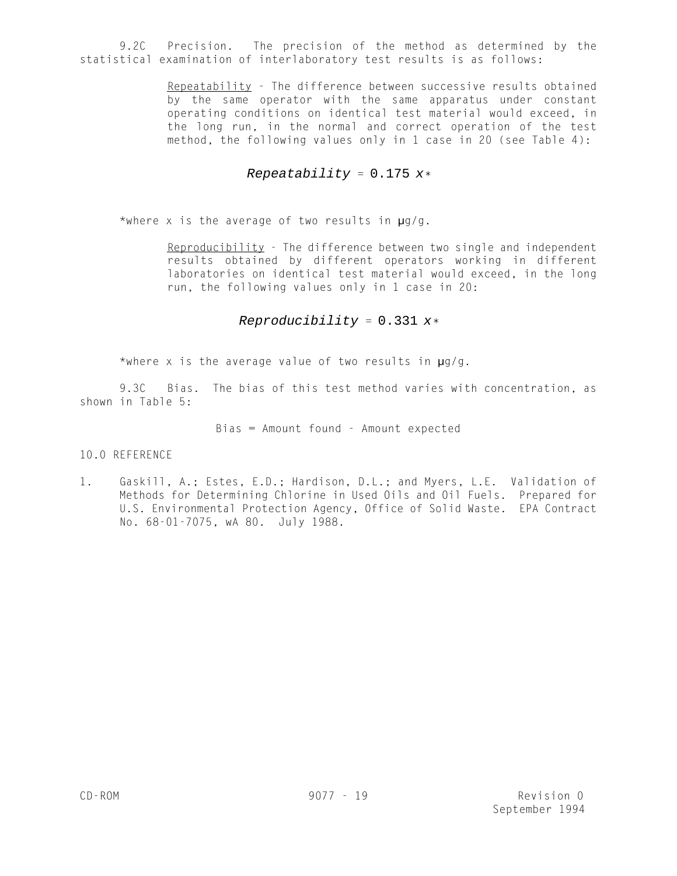9.2C Precision. The precision of the method as determined by the statistical examination of interlaboratory test results is as follows:

> Repeatability - The difference between successive results obtained by the same operator with the same apparatus under constant operating conditions on identical test material would exceed, in the long run, in the normal and correct operation of the test method, the following values only in 1 case in 20 (see Table 4):

# Repeatability =  $0.175 x*$

\*where x is the average of two results in  $\mu q/q$ .

Reproducibility - The difference between two single and independent results obtained by different operators working in different laboratories on identical test material would exceed, in the long run, the following values only in 1 case in 20:

# Reproducibility =  $0.331 x*$

\*where x is the average value of two results in  $\mu q/q$ .

9.3C Bias. The bias of this test method varies with concentration, as shown in Table 5:

Bias = Amount found - Amount expected

10.0 REFERENCE

1. Gaskill, A.; Estes, E.D.; Hardison, D.L.; and Myers, L.E. Validation of Methods for Determining Chlorine in Used Oils and Oil Fuels. Prepared for U.S. Environmental Protection Agency, Office of Solid Waste. EPA Contract No. 68-01-7075, wA 80. July 1988.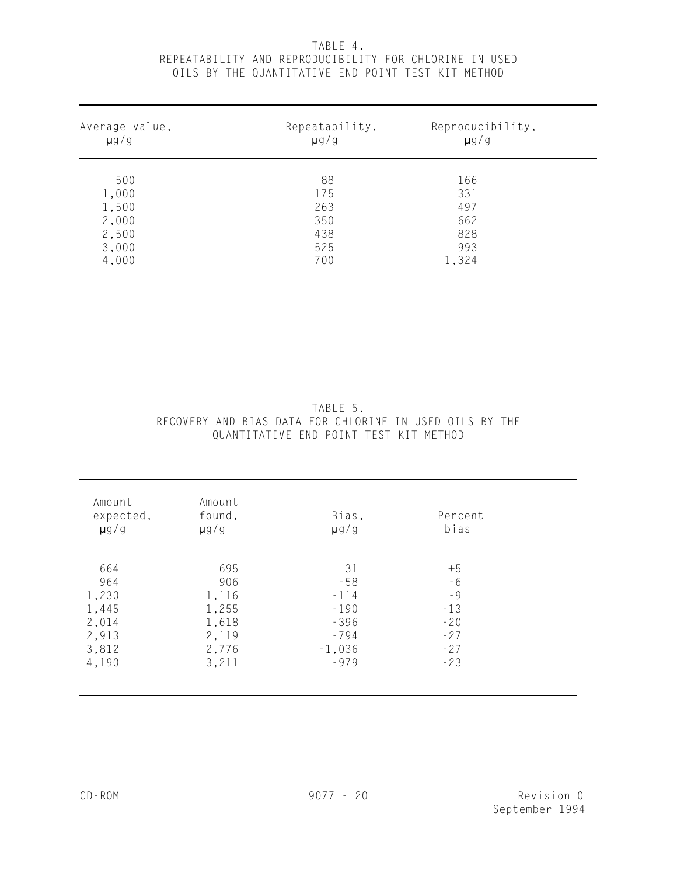# TABLE 4. REPEATABILITY AND REPRODUCIBILITY FOR CHLORINE IN USED OILS BY THE QUANTITATIVE END POINT TEST KIT METHOD

| Average value, | Repeatability, | Reproducibility, |  |
|----------------|----------------|------------------|--|
| $\mu$ g/g      | $\mu$ g/g      | $\mu$ g/g        |  |
| 500            | 88             | 166              |  |
| 1,000          | 175            | 331              |  |
| 1,500          | 263            | 497              |  |
| 2,000          | 350            | 662              |  |
| 2,500          | 438            | 828              |  |
| 3,000          | 525            | 993              |  |
| 4,000          | 700            | 1,324            |  |

|                                                         |                                        |  | TABLE 5. |  |  |  |
|---------------------------------------------------------|----------------------------------------|--|----------|--|--|--|
| RECOVERY AND BIAS DATA FOR CHLORINE IN USED OILS BY THE |                                        |  |          |  |  |  |
|                                                         | OUANTITATIVE END POINT TEST KIT METHOD |  |          |  |  |  |

| Amount<br>expected,<br>$\mu$ g/g | Amount<br>found,<br>$\mu$ g/g | Bias,<br>$\mu$ g/g | Percent<br>bias |  |
|----------------------------------|-------------------------------|--------------------|-----------------|--|
| 664                              | 695                           | 31                 | $+5$            |  |
| 964                              | 906                           | $-58$              | - 6             |  |
|                                  |                               |                    | $-9$            |  |
| 1,230                            | 1,116                         | $-114$             |                 |  |
| 1,445                            | 1,255                         | $-190$             | $-13$           |  |
| 2,014                            | 1,618                         | $-396$             | $-20$           |  |
| 2,913                            | 2,119                         | $-794$             | $-27$           |  |
|                                  |                               |                    | $-27$           |  |
|                                  |                               | $-979$             | $-23$           |  |
| 3,812<br>4,190                   | 2,776<br>3,211                | $-1,036$           |                 |  |

l,